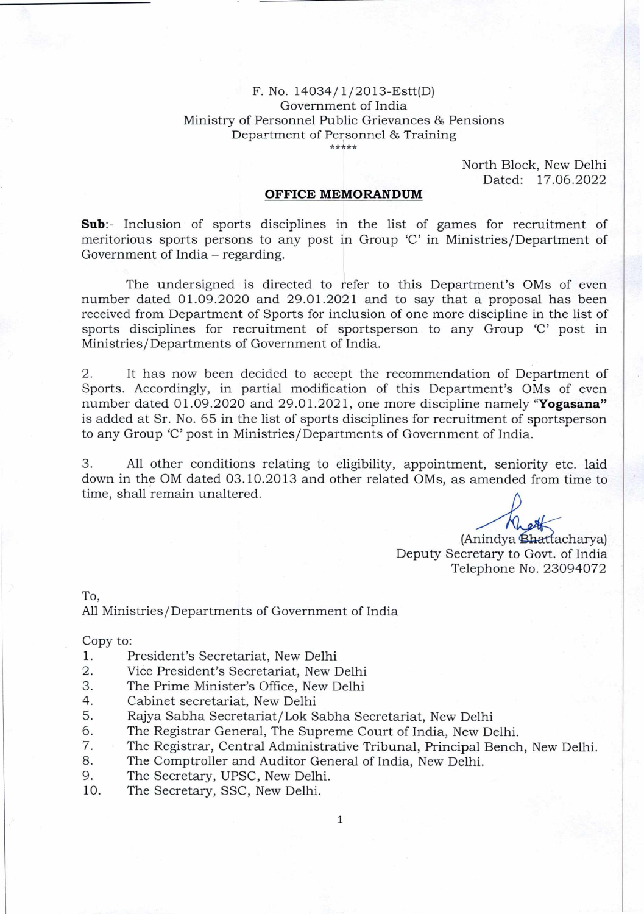## F. No. 14034/1/2013-Estt(D) Government of India Ministry of Personnel Public Grievances & Pensions Department of Personnel & Training

\*\*\*\*\*

North Block, New Delhi Dated: 17.06.2022

## **OFFICE MEMORANDUM**

**Sub:-** Inclusion of sports disciplines in the list of games for recruitment of meritorious sports persons to any post in Group 'C' in Ministries/Department of Government of India – regarding.

The undersigned is directed to refer to this Department's OMs of even number dated 01.09.2020 and 29.01.2021 and to say that a proposal has been received from Department of Sports for inclusion of one more discipline in the list of sports disciplines for recruitment of sportsperson to any Group 'C' post in Ministries/Departments of Government of India.

2. It has now been decided to accept the recommendation of Department of Sports. Accordingly, in partial modification of this Department's OMs of even number dated 01.09.2020 and 29.01.2021, one more discipline namely **"Yogasana"**  is added at Sr. No. 65 in the list of sports disciplines for recruitment of sportsperson to any Group 'C' post in Ministries/Departments of Government of India.

3. All other conditions relating to eligibility, appointment, seniority etc. laid down in the OM dated 03.10.2013 and other related OMs, as amended from time to time, shall remain unaltered.

(Anindya Bhattacharya) Deputy Secretary to Govt. of India Telephone No. 23094072

To,

All Ministries/Departments of Government of India

Copy to:

- 1. President's Secretariat, New Delhi<br>2. Vice President's Secretariat. New I
- Vice President's Secretariat, New Delhi
- 3. The Prime Minister's Office, New Delhi
- 4. Cabinet secretariat, New Delhi
- 5. Rajya Sabha Secretariat/Lok Sabha Secretariat, New Delhi
- 6. The Registrar General, The Supreme Court of India, New Delhi.
- 7. The Registrar, Central Administrative Tribunal, Principal Bench, New Delhi.<br>8. The Comptroller and Auditor General of India. New Delhi.
- 8. The Comptroller and Auditor General of India, New Delhi.<br>9. The Secretary UPSC New Delhi
- The Secretary, UPSC, New Delhi.
- 10. The Secretary, SSC, New Delhi.

1